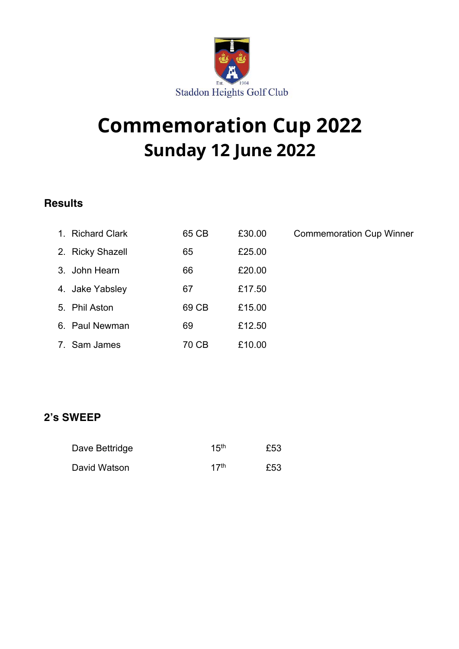

# **Commemoration Cup 2022 Sunday 12 June 2022**

### **Results**

| 1. Richard Clark | 65 CB | £30.00 | <b>Commemoration Cup Winner</b> |
|------------------|-------|--------|---------------------------------|
| 2. Ricky Shazell | 65    | £25.00 |                                 |
| 3. John Hearn    | 66    | £20.00 |                                 |
| 4. Jake Yabsley  | 67    | £17.50 |                                 |
| 5. Phil Aston    | 69 CB | £15.00 |                                 |
| 6. Paul Newman   | 69    | £12.50 |                                 |
| 7. Sam James     | 70 CB | £10.00 |                                 |

#### **2's SWEEP**

| Dave Bettridge | 15 <sup>th</sup> | £53 |
|----------------|------------------|-----|
| David Watson   | 17 <sup>th</sup> | £53 |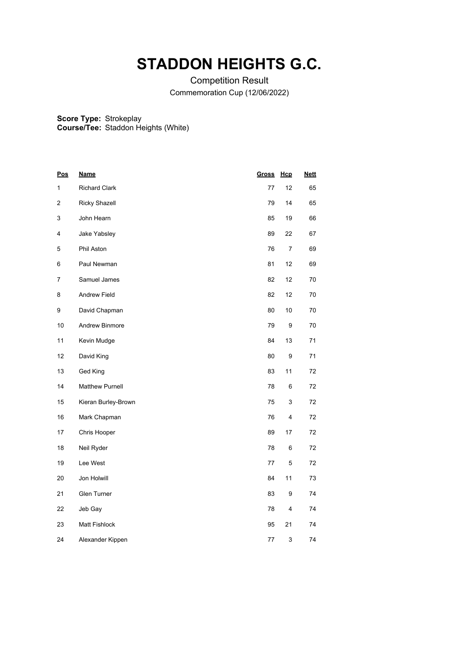### **STADDON HEIGHTS G.C.**

Competition Result Commemoration Cup (12/06/2022)

**Score Type:** Strokeplay

**Course/Tee:** Staddon Heights (White)

| <b>Pos</b> | <b>Name</b>            | <b>Gross</b> | Hcp              | <b>Nett</b> |
|------------|------------------------|--------------|------------------|-------------|
| 1          | <b>Richard Clark</b>   | 77           | 12               | 65          |
| 2          | <b>Ricky Shazell</b>   | 79           | 14               | 65          |
| 3          | John Hearn             | 85           | 19               | 66          |
| 4          | Jake Yabsley           | 89           | 22               | 67          |
| 5          | Phil Aston             | 76           | 7                | 69          |
| 6          | Paul Newman            | 81           | 12               | 69          |
| 7          | Samuel James           | 82           | 12               | 70          |
| 8          | Andrew Field           | 82           | 12               | 70          |
| 9          | David Chapman          | 80           | 10               | 70          |
| 10         | Andrew Binmore         | 79           | $\boldsymbol{9}$ | 70          |
| 11         | Kevin Mudge            | 84           | 13               | 71          |
| 12         | David King             | 80           | 9                | 71          |
| 13         | Ged King               | 83           | 11               | 72          |
| 14         | <b>Matthew Purnell</b> | 78           | 6                | 72          |
| 15         | Kieran Burley-Brown    | 75           | 3                | 72          |
| 16         | Mark Chapman           | 76           | 4                | 72          |
| 17         | Chris Hooper           | 89           | 17               | 72          |
| 18         | Neil Ryder             | 78           | 6                | 72          |
| 19         | Lee West               | 77           | $\mathbf 5$      | 72          |
| 20         | Jon Holwill            | 84           | 11               | 73          |
| 21         | Glen Turner            | 83           | 9                | 74          |
| 22         | Jeb Gay                | 78           | 4                | 74          |
| 23         | Matt Fishlock          | 95           | 21               | 74          |
| 24         | Alexander Kippen       | 77           | 3                | 74          |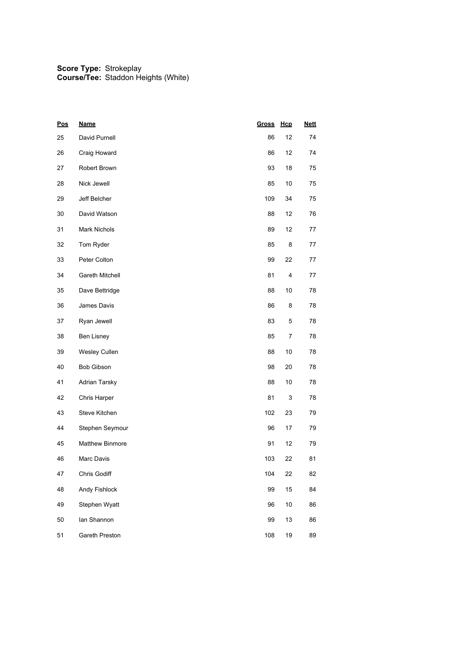| <u>Pos</u> | <b>Name</b>            | <b>Gross</b> | Hcp  | <b>Nett</b> |
|------------|------------------------|--------------|------|-------------|
| 25         | David Purnell          | 86           | 12   | 74          |
| 26         | Craig Howard           | 86           | 12   | 74          |
| 27         | Robert Brown           | 93           | 18   | 75          |
| 28         | Nick Jewell            | 85           | $10$ | 75          |
| 29         | Jeff Belcher           | 109          | 34   | 75          |
| 30         | David Watson           | 88           | 12   | 76          |
| 31         | Mark Nichols           | 89           | 12   | 77          |
| 32         | Tom Ryder              | 85           | 8    | 77          |
| 33         | Peter Colton           | 99           | 22   | 77          |
| 34         | Gareth Mitchell        | 81           | 4    | 77          |
| 35         | Dave Bettridge         | 88           | 10   | 78          |
| 36         | James Davis            | 86           | 8    | 78          |
| 37         | Ryan Jewell            | 83           | 5    | 78          |
| 38         | Ben Lisney             | 85           | 7    | 78          |
| 39         | Wesley Cullen          | 88           | 10   | 78          |
| 40         | <b>Bob Gibson</b>      | 98           | 20   | 78          |
| 41         | Adrian Tarsky          | 88           | 10   | 78          |
| 42         | Chris Harper           | 81           | 3    | 78          |
| 43         | Steve Kitchen          | 102          | 23   | 79          |
| 44         | Stephen Seymour        | 96           | 17   | 79          |
| 45         | <b>Matthew Binmore</b> | 91           | 12   | 79          |
| 46         | Marc Davis             | 103          | 22   | 81          |
| 47         | Chris Godiff           | 104          | 22   | 82          |
| 48         | Andy Fishlock          | 99           | 15   | 84          |
| 49         | Stephen Wyatt          | 96           | $10$ | 86          |
| 50         | lan Shannon            | 99           | 13   | 86          |
| 51         | Gareth Preston         | 108          | 19   | 89          |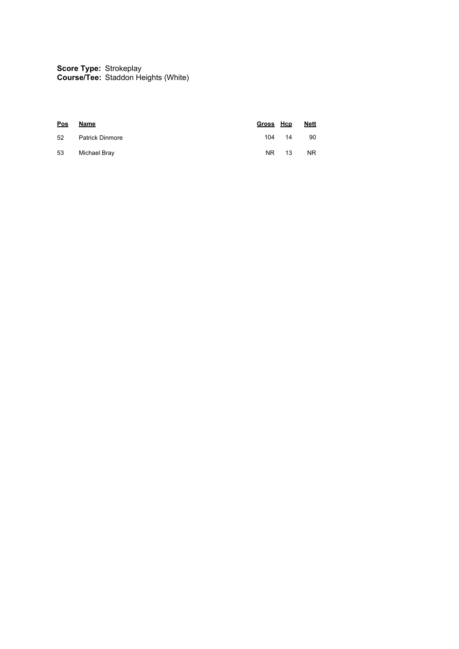**Score Type: Course/Tee:** Strokeplay Staddon Heights (White)

| <b>Pos</b> | Name            | Gross Hcp |        | <b>Nett</b> |
|------------|-----------------|-----------|--------|-------------|
| 52         | Patrick Dinmore |           | 104 14 | 90          |
| 53         | Michael Bray    | NR.       | 13     | <b>NR</b>   |